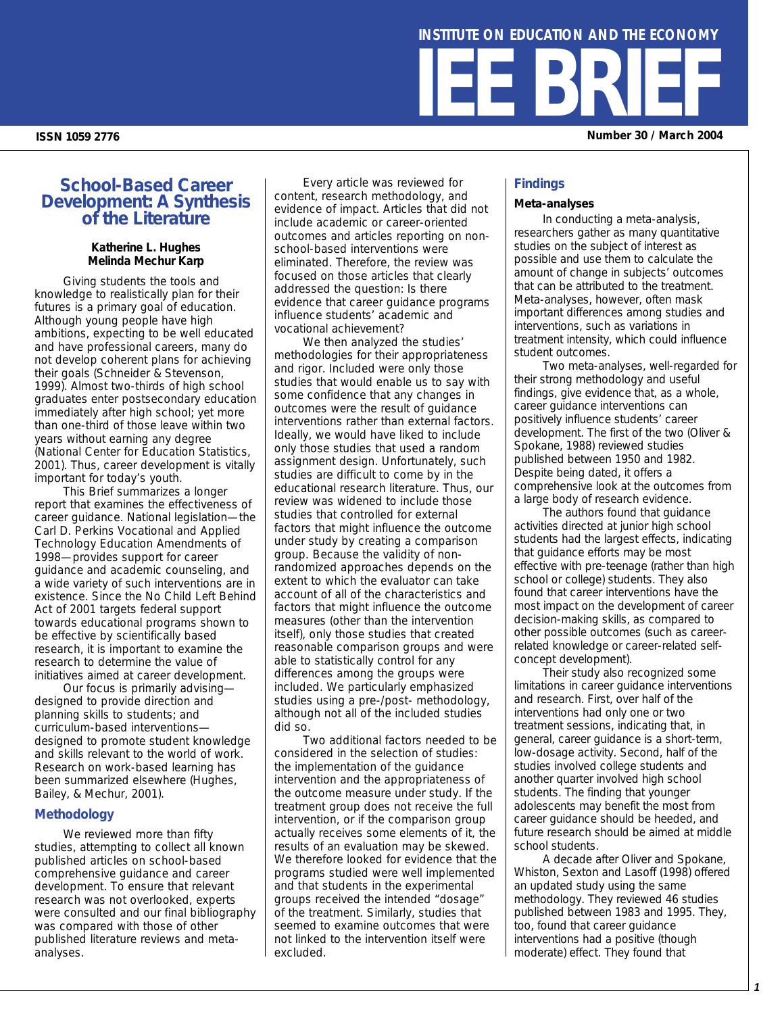# **IEE BRI ISSN 1059 2776 Number 30 / March 2004 INSTITUTE ON EDUCATION AND THE ECONOMY**

# **School-Based Career Development: A Synthesis of the Literature**

### **Katherine L. Hughes Melinda Mechur Karp**

Giving students the tools and knowledge to realistically plan for their futures is a primary goal of education. Although young people have high ambitions, expecting to be well educated and have professional careers, many do not develop coherent plans for achieving their goals (Schneider & Stevenson, 1999). Almost two-thirds of high school graduates enter postsecondary education immediately after high school; yet more than one-third of those leave within two years without earning any degree (National Center for Education Statistics, 2001). Thus, career development is vitally important for today's youth.

This Brief summarizes a longer report that examines the effectiveness of career guidance. National legislation—the Carl D. Perkins Vocational and Applied Technology Education Amendments of 1998—provides support for career guidance and academic counseling, and a wide variety of such interventions are in existence. Since the No Child Left Behind Act of 2001 targets federal support towards educational programs shown to be effective by scientifically based research, it is important to examine the research to determine the value of initiatives aimed at career development.

Our focus is primarily advising designed to provide direction and planning skills to students; and curriculum-based interventions designed to promote student knowledge and skills relevant to the world of work. Research on work-based learning has been summarized elsewhere (Hughes, Bailey, & Mechur, 2001).

# **Methodology**

We reviewed more than fifty studies, attempting to collect all known published articles on school-based comprehensive guidance and career development. To ensure that relevant research was not overlooked, experts were consulted and our final bibliography was compared with those of other published literature reviews and metaanalyses.

Every article was reviewed for content, research methodology, and evidence of impact. Articles that did not include academic or career-oriented outcomes and articles reporting on nonschool-based interventions were eliminated. Therefore, the review was focused on those articles that clearly addressed the question: *Is there evidence that career guidance programs influence students' academic and vocational achievement?* 

We then analyzed the studies' methodologies for their appropriateness and rigor. Included were only those studies that would enable us to say with some confidence that any changes in outcomes were the result of guidance interventions rather than external factors. Ideally, we would have liked to include only those studies that used a random assignment design. Unfortunately, such studies are difficult to come by in the educational research literature. Thus, our review was widened to include those studies that controlled for external factors that might influence the outcome under study by creating a comparison group. Because the validity of nonrandomized approaches depends on the extent to which the evaluator can take account of all of the characteristics and factors that might influence the outcome measures (other than the intervention itself), only those studies that created reasonable comparison groups and were able to statistically control for any differences among the groups were included. We particularly emphasized studies using a pre-/post- methodology, although not all of the included studies did so.

Two additional factors needed to be considered in the selection of studies: the implementation of the guidance intervention and the appropriateness of the outcome measure under study. If the treatment group does not receive the full intervention, or if the comparison group actually receives some elements of it, the results of an evaluation may be skewed. We therefore looked for evidence that the programs studied were well implemented and that students in the experimental groups received the intended "dosage" of the treatment. Similarly, studies that seemed to examine outcomes that were not linked to the intervention itself were excluded.

# **Findings**

#### *Meta-analyses*

In conducting a meta-analysis, researchers gather as many quantitative studies on the subject of interest as possible and use them to calculate the amount of change in subjects' outcomes that can be attributed to the treatment. Meta-analyses, however, often mask important differences among studies and interventions, such as variations in treatment intensity, which could influence student outcomes.

Two meta-analyses, well-regarded for their strong methodology and useful findings, give evidence that, as a whole, career guidance interventions can positively influence students' career development. The first of the two (Oliver & Spokane, 1988) reviewed studies published between 1950 and 1982. Despite being dated, it offers a comprehensive look at the outcomes from a large body of research evidence.

The authors found that guidance activities directed at junior high school students had the largest effects, indicating that guidance efforts may be most effective with pre-teenage (rather than high school or college) students. They also found that career interventions have the most impact on the development of career decision-making skills, as compared to other possible outcomes (such as careerrelated knowledge or career-related selfconcept development).

Their study also recognized some limitations in career guidance interventions and research. First, over half of the interventions had only one or two treatment sessions, indicating that, in general, career guidance is a short-term, low-dosage activity. Second, half of the studies involved college students and another quarter involved high school students. The finding that younger adolescents may benefit the most from career guidance should be heeded, and future research should be aimed at middle school students.

A decade after Oliver and Spokane, Whiston, Sexton and Lasoff (1998) offered an updated study using the same methodology. They reviewed 46 studies published between 1983 and 1995. They, too, found that career guidance interventions had a positive (though moderate) effect. They found that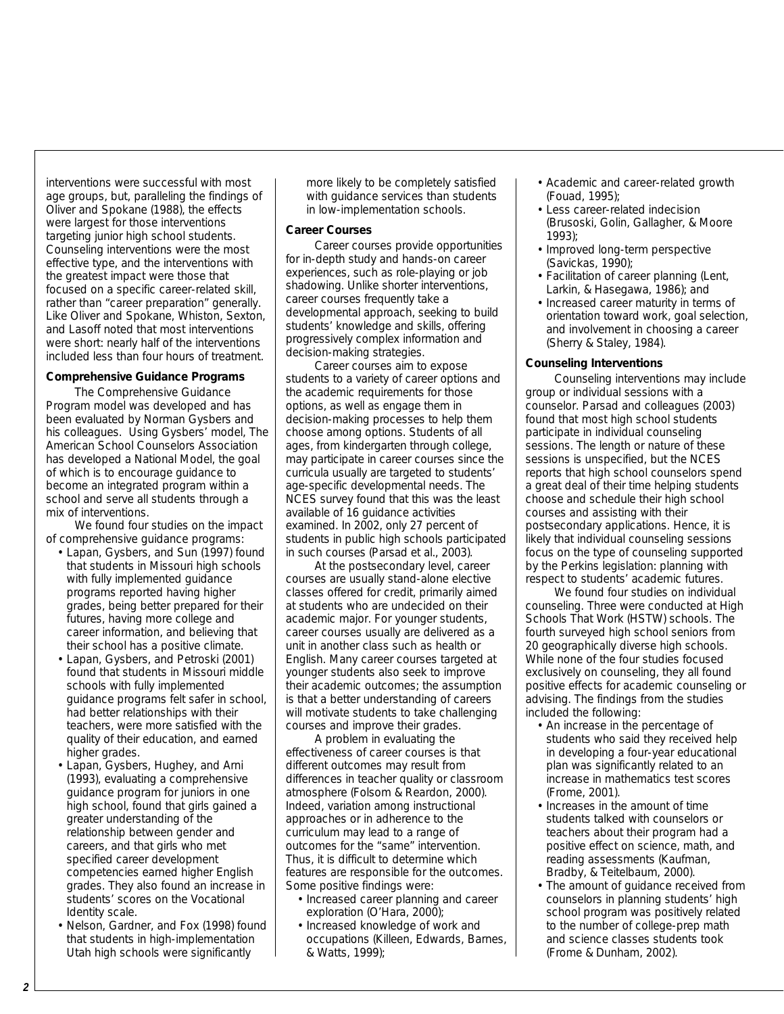interventions were successful with most age groups, but, paralleling the findings of Oliver and Spokane (1988), the effects were largest for those interventions targeting junior high school students. Counseling interventions were the most effective type, and the interventions with the greatest impact were those that focused on a specific career-related skill, rather than "career preparation" generally. Like Oliver and Spokane, Whiston, Sexton, and Lasoff noted that most interventions were short: nearly half of the interventions included less than four hours of treatment.

#### *Comprehensive Guidance Programs*

The Comprehensive Guidance Program model was developed and has been evaluated by Norman Gysbers and his colleagues. Using Gysbers' model, The American School Counselors Association has developed a National Model, the goal of which is to encourage guidance to become an integrated program within a school and serve all students through a mix of interventions.

We found four studies on the impact of comprehensive guidance programs:

- Lapan, Gysbers, and Sun (1997) found that students in Missouri high schools with fully implemented guidance programs reported having higher grades, being better prepared for their futures, having more college and career information, and believing that their school has a positive climate.
- Lapan, Gysbers, and Petroski (2001) found that students in Missouri middle schools with fully implemented guidance programs felt safer in school, had better relationships with their teachers, were more satisfied with the quality of their education, and earned higher grades.
- Lapan, Gysbers, Hughey, and Arni (1993), evaluating a comprehensive guidance program for juniors in one high school, found that girls gained a greater understanding of the relationship between gender and careers, and that girls who met specified career development competencies earned higher English grades. They also found an increase in students' scores on the Vocational Identity scale.
- Nelson, Gardner, and Fox (1998) found that students in high-implementation Utah high schools were significantly

more likely to be completely satisfied with guidance services than students in low-implementation schools.

# *Career Courses*

Career courses provide opportunities for in-depth study and hands-on career experiences, such as role-playing or job shadowing. Unlike shorter interventions, career courses frequently take a developmental approach, seeking to build students' knowledge and skills, offering progressively complex information and decision-making strategies.

Career courses aim to expose students to a variety of career options and the academic requirements for those options, as well as engage them in decision-making processes to help them choose among options. Students of all ages, from kindergarten through college, may participate in career courses since the curricula usually are targeted to students' age-specific developmental needs. The NCES survey found that this was the least available of 16 guidance activities examined. In 2002, only 27 percent of students in public high schools participated in such courses (Parsad et al., 2003).

At the postsecondary level, career courses are usually stand-alone elective classes offered for credit, primarily aimed at students who are undecided on their academic major. For younger students, career courses usually are delivered as a unit in another class such as health or English. Many career courses targeted at younger students also seek to improve their academic outcomes; the assumption is that a better understanding of careers will motivate students to take challenging courses and improve their grades.

A problem in evaluating the effectiveness of career courses is that different outcomes may result from differences in teacher quality or classroom atmosphere (Folsom & Reardon, 2000). Indeed, variation among instructional approaches or in adherence to the curriculum may lead to a range of outcomes for the "same" intervention. Thus, it is difficult to determine which features are responsible for the outcomes. Some positive findings were:

- Increased career planning and career exploration (O'Hara, 2000);
- Increased knowledge of work and occupations (Killeen, Edwards, Barnes, & Watts, 1999);
- Academic and career-related growth (Fouad, 1995);
- Less career-related indecision (Brusoski, Golin, Gallagher, & Moore 1993);
- Improved long-term perspective (Savickas, 1990);
- Facilitation of career planning (Lent, Larkin, & Hasegawa, 1986); and
- Increased career maturity in terms of orientation toward work, goal selection, and involvement in choosing a career (Sherry & Staley, 1984).

# *Counseling Interventions*

Counseling interventions may include group or individual sessions with a counselor. Parsad and colleagues (2003) found that most high school students participate in individual counseling sessions. The length or nature of these sessions is unspecified, but the NCES reports that high school counselors spend a great deal of their time helping students choose and schedule their high school courses and assisting with their postsecondary applications. Hence, it is likely that individual counseling sessions focus on the type of counseling supported by the Perkins legislation: planning with respect to students' academic futures.

We found four studies on individual counseling. Three were conducted at High Schools That Work (HSTW) schools. The fourth surveyed high school seniors from 20 geographically diverse high schools. While none of the four studies focused exclusively on counseling, they all found positive effects for academic counseling or advising. The findings from the studies included the following:

- An increase in the percentage of students who said they received help in developing a four-year educational plan was significantly related to an increase in mathematics test scores (Frome, 2001).
- Increases in the amount of time students talked with counselors or teachers about their program had a positive effect on science, math, and reading assessments (Kaufman, Bradby, & Teitelbaum, 2000).
- The amount of guidance received from counselors in planning students' high school program was positively related to the number of college-prep math and science classes students took (Frome & Dunham, 2002).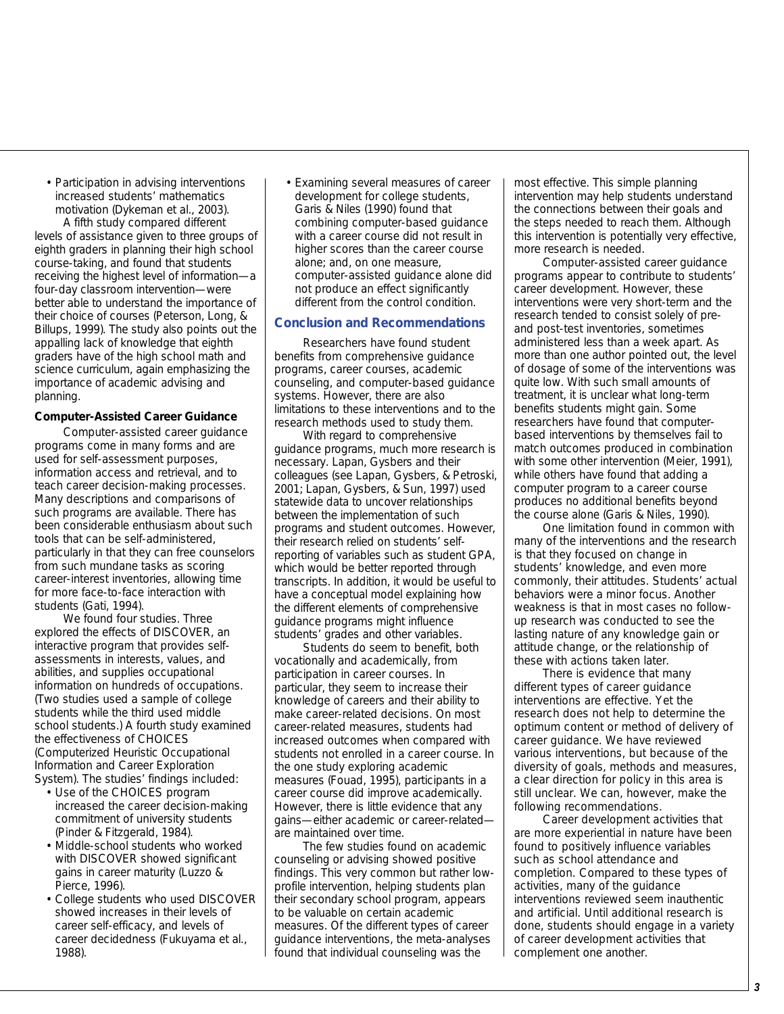• Participation in advising interventions increased students' mathematics motivation (Dykeman et al., 2003). A fifth study compared different levels of assistance given to three groups of eighth graders in planning their high school course-taking, and found that students receiving the highest level of information—a four-day classroom intervention—were better able to understand the importance of their choice of courses (Peterson, Long, & Billups, 1999). The study also points out the appalling lack of knowledge that eighth

graders have of the high school math and science curriculum, again emphasizing the importance of academic advising and planning.

# *Computer-Assisted Career Guidance*

Computer-assisted career guidance programs come in many forms and are used for self-assessment purposes, information access and retrieval, and to teach career decision-making processes. Many descriptions and comparisons of such programs are available. There has been considerable enthusiasm about such tools that can be self-administered, particularly in that they can free counselors from such mundane tasks as scoring career-interest inventories, allowing time for more face-to-face interaction with students (Gati, 1994).

We found four studies. Three explored the effects of DISCOVER, an interactive program that provides selfassessments in interests, values, and abilities, and supplies occupational information on hundreds of occupations. (Two studies used a sample of college students while the third used middle school students.) A fourth study examined the effectiveness of CHOICES (Computerized Heuristic Occupational Information and Career Exploration System). The studies' findings included:

- Use of the CHOICES program increased the career decision-making commitment of university students (Pinder & Fitzgerald, 1984).
- Middle-school students who worked with DISCOVER showed significant gains in career maturity (Luzzo & Pierce, 1996).
- College students who used DISCOVER showed increases in their levels of career self-efficacy, and levels of career decidedness (Fukuyama et al., 1988).

• Examining several measures of career development for college students, Garis & Niles (1990) found that combining computer-based guidance with a career course did not result in higher scores than the career course alone; and, on one measure, computer-assisted guidance alone did not produce an effect significantly different from the control condition.

# **Conclusion and Recommendations**

Researchers have found student benefits from comprehensive guidance programs, career courses, academic counseling, and computer-based guidance systems. However, there are also limitations to these interventions and to the research methods used to study them.

With regard to comprehensive guidance programs, much more research is necessary. Lapan, Gysbers and their colleagues (see Lapan, Gysbers, & Petroski, 2001; Lapan, Gysbers, & Sun, 1997) used statewide data to uncover relationships between the implementation of such programs and student outcomes. However, their research relied on students' selfreporting of variables such as student GPA, which would be better reported through transcripts. In addition, it would be useful to have a conceptual model explaining how the different elements of comprehensive guidance programs might influence students' grades and other variables.

Students do seem to benefit, both vocationally and academically, from participation in career courses. In particular, they seem to increase their knowledge of careers and their ability to make career-related decisions. On most career-related measures, students had increased outcomes when compared with students not enrolled in a career course. In the one study exploring academic measures (Fouad, 1995), participants in a career course did improve academically. However, there is little evidence that any gains—either academic or career-related are maintained over time.

The few studies found on academic counseling or advising showed positive findings. This very common but rather lowprofile intervention, helping students plan their secondary school program, appears to be valuable on certain academic measures. Of the different types of career guidance interventions, the meta-analyses found that individual counseling was the

most effective. This simple planning intervention may help students understand the connections between their goals and the steps needed to reach them. Although this intervention is potentially very effective, more research is needed.

Computer-assisted career guidance programs appear to contribute to students' career development. However, these interventions were very short-term and the research tended to consist solely of preand post-test inventories, sometimes administered less than a week apart. As more than one author pointed out, the level of dosage of some of the interventions was quite low. With such small amounts of treatment, it is unclear what long-term benefits students might gain. Some researchers have found that computerbased interventions by themselves fail to match outcomes produced in combination with some other intervention (Meier, 1991), while others have found that adding a computer program to a career course produces no additional benefits beyond the course alone (Garis & Niles, 1990).

One limitation found in common with many of the interventions and the research is that they focused on change in students' knowledge, and even more commonly, their attitudes. Students' actual behaviors were a minor focus. Another weakness is that in most cases no followup research was conducted to see the lasting nature of any knowledge gain or attitude change, or the relationship of these with actions taken later.

There is evidence that many different types of career guidance interventions are effective. Yet the research does not help to determine the optimum content or method of delivery of career guidance. We have reviewed various interventions, but because of the diversity of goals, methods and measures, a clear direction for policy in this area is still unclear. We can, however, make the following recommendations.

Career development activities that are more experiential in nature have been found to positively influence variables such as school attendance and completion. Compared to these types of activities, many of the guidance interventions reviewed seem inauthentic and artificial. Until additional research is done, students should engage in a variety of career development activities that complement one another.